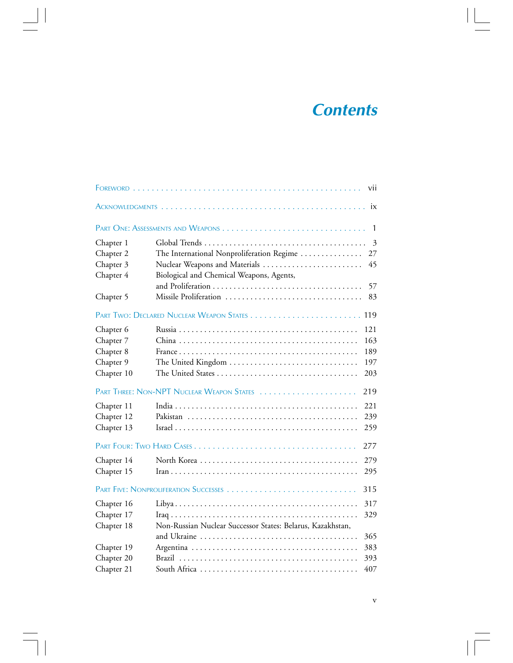## **Contents**

|                                           |                                                            | vii            |
|-------------------------------------------|------------------------------------------------------------|----------------|
|                                           |                                                            | ix             |
|                                           | PART ONE: ASSESSMENTS AND WEAPONS                          | $\mathbf{1}$   |
| Chapter 1                                 |                                                            | $\overline{3}$ |
| Chapter 2                                 | The International Nonproliferation Regime                  | 27             |
| Chapter 3                                 | Nuclear Weapons and Materials                              | 45             |
| Chapter 4                                 | Biological and Chemical Weapons, Agents,                   |                |
|                                           |                                                            | 57             |
| Chapter 5                                 | Missile Proliferation                                      | 83             |
|                                           |                                                            |                |
| Chapter 6                                 |                                                            | 121            |
| Chapter 7                                 |                                                            | 163            |
| Chapter 8                                 |                                                            | 189            |
| Chapter 9                                 | The United Kingdom                                         | 197            |
| Chapter 10                                |                                                            | 203            |
| PART THREE: NON-NPT NUCLEAR WEAPON STATES |                                                            | 219            |
| Chapter 11                                |                                                            | 221            |
| Chapter 12                                |                                                            | 239            |
| Chapter 13                                |                                                            | 259            |
|                                           |                                                            | 277            |
| Chapter 14                                |                                                            | 279            |
| Chapter 15                                |                                                            | 295            |
|                                           |                                                            | 315            |
| Chapter 16                                |                                                            | 317            |
| Chapter 17                                |                                                            | 329            |
| Chapter 18                                | Non-Russian Nuclear Successor States: Belarus, Kazakhstan, |                |
|                                           |                                                            | 365            |
| Chapter 19                                |                                                            | 383            |
| Chapter 20                                |                                                            | 393            |
| Chapter 21                                |                                                            | 407            |

 $\Box$ 

v

 $\equiv$  $\overline{\phantom{a}}$